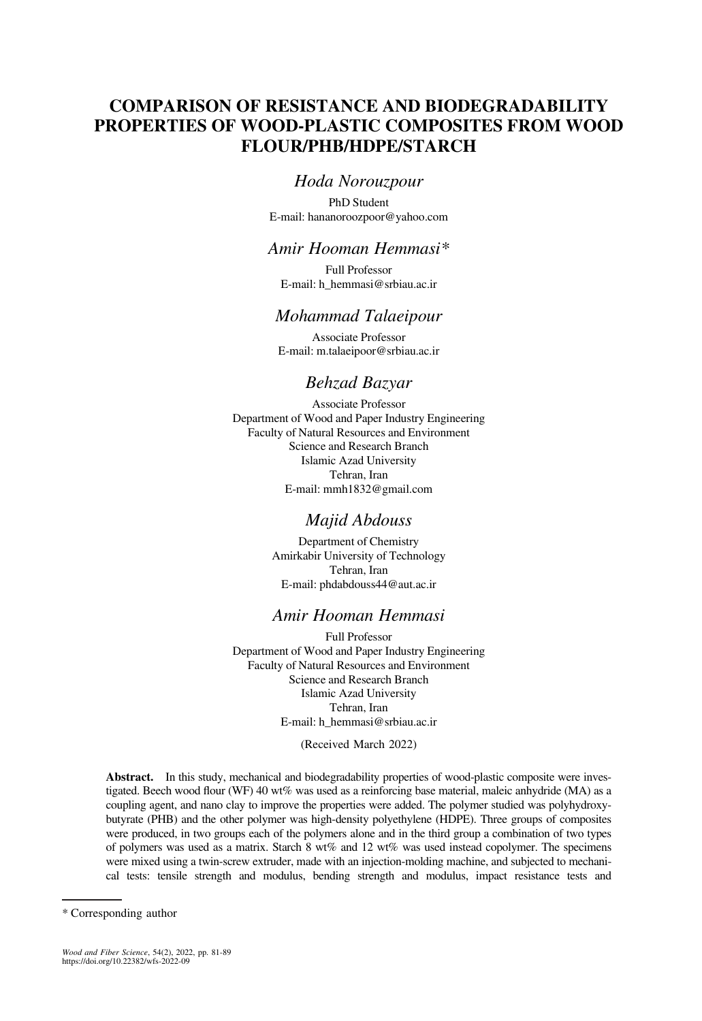# COMPARISON OF RESISTANCE AND BIODEGRADABILITY PROPERTIES OF WOOD-PLASTIC COMPOSITES FROM WOOD FLOUR/PHB/HDPE/STARCH

## Hoda Norouzpour

PhD Student E-mail: [hananoroozpoor@yahoo.com](mailto:hananoroozpoor@yahoo.com)

## Amir Hooman Hemmasi\*

Full Professor E-mail: [h\\_hemmasi@srbiau.ac.ir](mailto:h_hemmasi@srbiau.ac.ir)

## Mohammad Talaeipour

Associate Professor E-mail: [m.talaeipoor@srbiau.ac.ir](mailto:m.talaeipoor@srbiau.ac.ir)

## Behzad Bazyar

Associate Professor Department of Wood and Paper Industry Engineering Faculty of Natural Resources and Environment Science and Research Branch Islamic Azad University Tehran, Iran E-mail: [mmh1832@gmail.com](mailto:mmh1832@gmail.com)

## Majid Abdouss

Department of Chemistry Amirkabir University of Technology Tehran, Iran E-mail: [phdabdouss44@aut.ac.ir](mailto:phdabdouss44@aut.ac.ir)

## Amir Hooman Hemmasi

Full Professor Department of Wood and Paper Industry Engineering Faculty of Natural Resources and Environment Science and Research Branch Islamic Azad University Tehran, Iran E-mail: [h\\_hemmasi@srbiau.ac.ir](mailto:h_hemmasi@srbiau.ac.ir)

(Received March 2022)

Abstract. In this study, mechanical and biodegradability properties of wood-plastic composite were investigated. Beech wood flour (WF) 40 wt% was used as a reinforcing base material, maleic anhydride (MA) as a coupling agent, and nano clay to improve the properties were added. The polymer studied was polyhydroxybutyrate (PHB) and the other polymer was high-density polyethylene (HDPE). Three groups of composites were produced, in two groups each of the polymers alone and in the third group a combination of two types of polymers was used as a matrix. Starch 8 wt% and 12 wt% was used instead copolymer. The specimens were mixed using a twin-screw extruder, made with an injection-molding machine, and subjected to mechanical tests: tensile strength and modulus, bending strength and modulus, impact resistance tests and

<sup>\*</sup> Corresponding author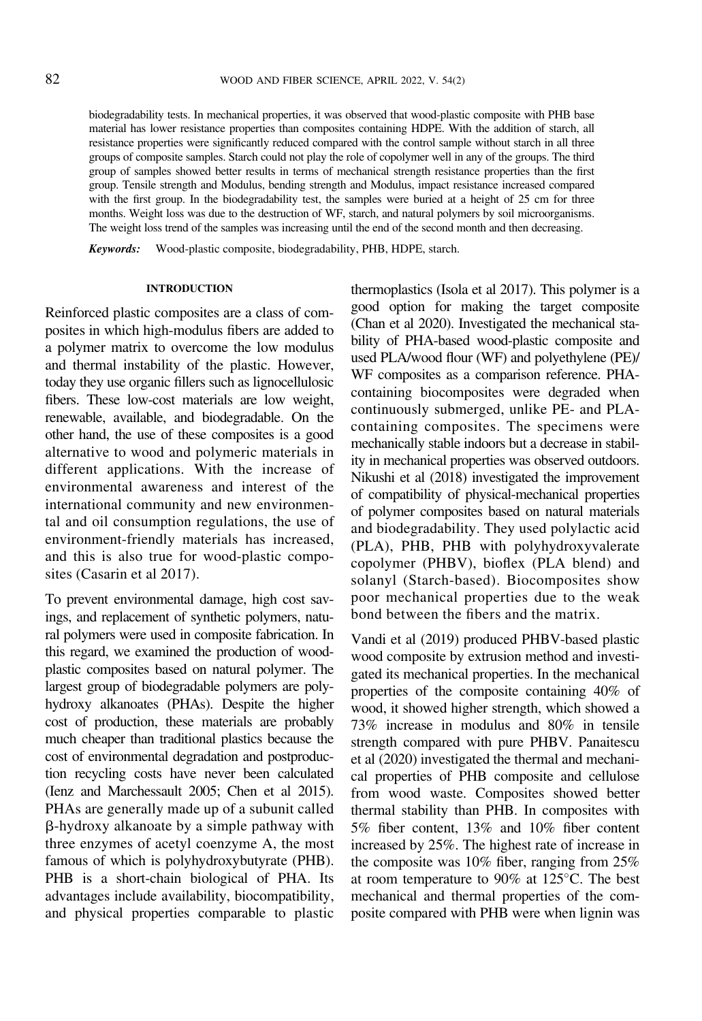biodegradability tests. In mechanical properties, it was observed that wood-plastic composite with PHB base material has lower resistance properties than composites containing HDPE. With the addition of starch, all resistance properties were significantly reduced compared with the control sample without starch in all three groups of composite samples. Starch could not play the role of copolymer well in any of the groups. The third group of samples showed better results in terms of mechanical strength resistance properties than the first group. Tensile strength and Modulus, bending strength and Modulus, impact resistance increased compared with the first group. In the biodegradability test, the samples were buried at a height of 25 cm for three months. Weight loss was due to the destruction of WF, starch, and natural polymers by soil microorganisms. The weight loss trend of the samples was increasing until the end of the second month and then decreasing.

Keywords: Wood-plastic composite, biodegradability, PHB, HDPE, starch.

### INTRODUCTION

Reinforced plastic composites are a class of composites in which high-modulus fibers are added to a polymer matrix to overcome the low modulus and thermal instability of the plastic. However, today they use organic fillers such as lignocellulosic fibers. These low-cost materials are low weight, renewable, available, and biodegradable. On the other hand, the use of these composites is a good alternative to wood and polymeric materials in different applications. With the increase of environmental awareness and interest of the international community and new environmental and oil consumption regulations, the use of environment-friendly materials has increased, and this is also true for wood-plastic composites [\(Casarin et al 2017\)](#page-7-0).

To prevent environmental damage, high cost savings, and replacement of synthetic polymers, natural polymers were used in composite fabrication. In this regard, we examined the production of woodplastic composites based on natural polymer. The largest group of biodegradable polymers are polyhydroxy alkanoates (PHAs). Despite the higher cost of production, these materials are probably much cheaper than traditional plastics because the cost of environmental degradation and postproduction recycling costs have never been calculated [\(Ienz and Marchessault 2005; Chen et al 2015\)](#page-7-0). PHAs are generally made up of a subunit called b-hydroxy alkanoate by a simple pathway with three enzymes of acetyl coenzyme A, the most famous of which is polyhydroxybutyrate (PHB). PHB is a short-chain biological of PHA. Its advantages include availability, biocompatibility, and physical properties comparable to plastic thermoplastics [\(Isola et al 2017\)](#page-7-0). This polymer is a good option for making the target composite [\(Chan et al 2020\)](#page-7-0). Investigated the mechanical stability of PHA-based wood-plastic composite and used PLA/wood flour (WF) and polyethylene (PE)/ WF composites as a comparison reference. PHAcontaining biocomposites were degraded when continuously submerged, unlike PE- and PLAcontaining composites. The specimens were mechanically stable indoors but a decrease in stability in mechanical properties was observed outdoors. [Nikushi et al \(2018\)](#page-7-0) investigated the improvement of compatibility of physical-mechanical properties of polymer composites based on natural materials and biodegradability. They used polylactic acid (PLA), PHB, PHB with polyhydroxyvalerate copolymer (PHBV), bioflex (PLA blend) and solanyl (Starch-based). Biocomposites show poor mechanical properties due to the weak bond between the fibers and the matrix.

[Vandi et al \(2019\)](#page-8-0) produced PHBV-based plastic wood composite by extrusion method and investigated its mechanical properties. In the mechanical properties of the composite containing 40% of wood, it showed higher strength, which showed a 73% increase in modulus and 80% in tensile strength compared with pure PHBV. [Panaitescu](#page-8-0) [et al \(2020\)](#page-8-0) investigated the thermal and mechanical properties of PHB composite and cellulose from wood waste. Composites showed better thermal stability than PHB. In composites with 5% fiber content, 13% and 10% fiber content increased by 25%. The highest rate of increase in the composite was 10% fiber, ranging from 25% at room temperature to 90% at  $125^{\circ}$ C. The best mechanical and thermal properties of the composite compared with PHB were when lignin was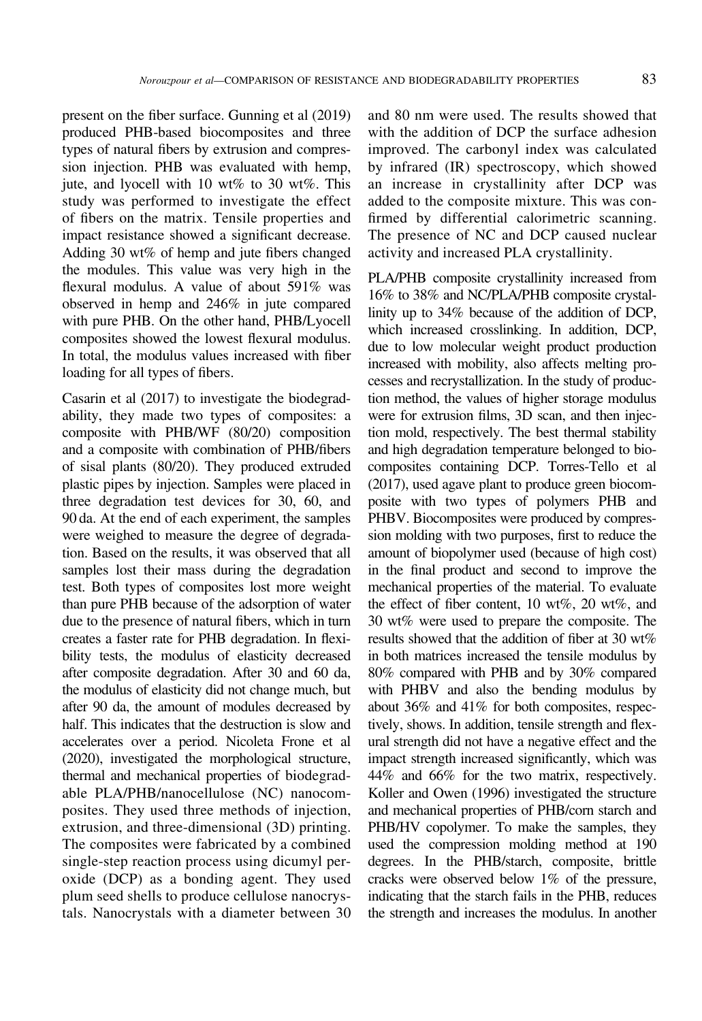present on the fiber surface. [Gunning et al \(2019\)](#page-7-0) produced PHB-based biocomposites and three types of natural fibers by extrusion and compression injection. PHB was evaluated with hemp, jute, and lyocell with 10 wt% to 30 wt%. This study was performed to investigate the effect of fibers on the matrix. Tensile properties and impact resistance showed a significant decrease. Adding 30 wt% of hemp and jute fibers changed the modules. This value was very high in the flexural modulus. A value of about 591% was observed in hemp and 246% in jute compared with pure PHB. On the other hand, PHB/Lyocell composites showed the lowest flexural modulus. In total, the modulus values increased with fiber loading for all types of fibers.

[Casarin et al \(2017\)](#page-7-0) to investigate the biodegradability, they made two types of composites: a composite with PHB/WF (80/20) composition and a composite with combination of PHB/fibers of sisal plants (80/20). They produced extruded plastic pipes by injection. Samples were placed in three degradation test devices for 30, 60, and 90 da. At the end of each experiment, the samples were weighed to measure the degree of degradation. Based on the results, it was observed that all samples lost their mass during the degradation test. Both types of composites lost more weight than pure PHB because of the adsorption of water due to the presence of natural fibers, which in turn creates a faster rate for PHB degradation. In flexibility tests, the modulus of elasticity decreased after composite degradation. After 30 and 60 da, the modulus of elasticity did not change much, but after 90 da, the amount of modules decreased by half. This indicates that the destruction is slow and accelerates over a period. [Nicoleta Frone et al](#page-7-0) [\(2020\)](#page-7-0), investigated the morphological structure, thermal and mechanical properties of biodegradable PLA/PHB/nanocellulose (NC) nanocomposites. They used three methods of injection, extrusion, and three-dimensional (3D) printing. The composites were fabricated by a combined single-step reaction process using dicumyl peroxide (DCP) as a bonding agent. They used plum seed shells to produce cellulose nanocrystals. Nanocrystals with a diameter between 30

and 80 nm were used. The results showed that with the addition of DCP the surface adhesion improved. The carbonyl index was calculated by infrared (IR) spectroscopy, which showed an increase in crystallinity after DCP was added to the composite mixture. This was confirmed by differential calorimetric scanning. The presence of NC and DCP caused nuclear activity and increased PLA crystallinity.

PLA/PHB composite crystallinity increased from 16% to 38% and NC/PLA/PHB composite crystallinity up to 34% because of the addition of DCP, which increased crosslinking. In addition, DCP, due to low molecular weight product production increased with mobility, also affects melting processes and recrystallization. In the study of production method, the values of higher storage modulus were for extrusion films, 3D scan, and then injection mold, respectively. The best thermal stability and high degradation temperature belonged to biocomposites containing DCP. [Torres-Tello et al](#page-8-0) [\(2017\),](#page-8-0) used agave plant to produce green biocomposite with two types of polymers PHB and PHBV. Biocomposites were produced by compression molding with two purposes, first to reduce the amount of biopolymer used (because of high cost) in the final product and second to improve the mechanical properties of the material. To evaluate the effect of fiber content, 10 wt%, 20 wt%, and 30 wt% were used to prepare the composite. The results showed that the addition of fiber at 30 wt% in both matrices increased the tensile modulus by 80% compared with PHB and by 30% compared with PHBV and also the bending modulus by about 36% and 41% for both composites, respectively, shows. In addition, tensile strength and flexural strength did not have a negative effect and the impact strength increased significantly, which was 44% and 66% for the two matrix, respectively. [Koller and Owen \(1996\)](#page-7-0) investigated the structure and mechanical properties of PHB/corn starch and PHB/HV copolymer. To make the samples, they used the compression molding method at 190 degrees. In the PHB/starch, composite, brittle cracks were observed below 1% of the pressure, indicating that the starch fails in the PHB, reduces the strength and increases the modulus. In another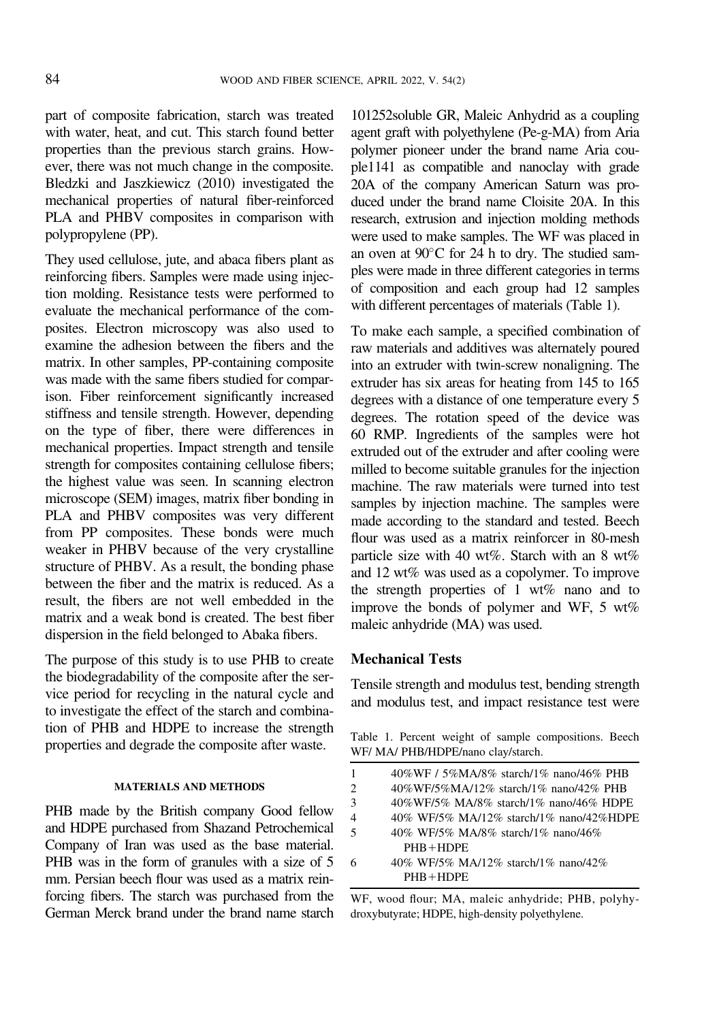part of composite fabrication, starch was treated with water, heat, and cut. This starch found better properties than the previous starch grains. However, there was not much change in the composite. [Bledzki and Jaszkiewicz \(2010\)](#page-7-0) investigated the mechanical properties of natural fiber-reinforced PLA and PHBV composites in comparison with polypropylene (PP).

They used cellulose, jute, and abaca fibers plant as reinforcing fibers. Samples were made using injection molding. Resistance tests were performed to evaluate the mechanical performance of the composites. Electron microscopy was also used to examine the adhesion between the fibers and the matrix. In other samples, PP-containing composite was made with the same fibers studied for comparison. Fiber reinforcement significantly increased stiffness and tensile strength. However, depending on the type of fiber, there were differences in mechanical properties. Impact strength and tensile strength for composites containing cellulose fibers; the highest value was seen. In scanning electron microscope (SEM) images, matrix fiber bonding in PLA and PHBV composites was very different from PP composites. These bonds were much weaker in PHBV because of the very crystalline structure of PHBV. As a result, the bonding phase between the fiber and the matrix is reduced. As a result, the fibers are not well embedded in the matrix and a weak bond is created. The best fiber dispersion in the field belonged to Abaka fibers.

The purpose of this study is to use PHB to create the biodegradability of the composite after the service period for recycling in the natural cycle and to investigate the effect of the starch and combination of PHB and HDPE to increase the strength properties and degrade the composite after waste.

#### MATERIALS AND METHODS

PHB made by the British company Good fellow and HDPE purchased from Shazand Petrochemical Company of Iran was used as the base material. PHB was in the form of granules with a size of 5 mm. Persian beech flour was used as a matrix reinforcing fibers. The starch was purchased from the German Merck brand under the brand name starch

101252soluble GR, Maleic Anhydrid as a coupling agent graft with polyethylene (Pe-g-MA) from Aria polymer pioneer under the brand name Aria couple1141 as compatible and nanoclay with grade 20A of the company American Saturn was produced under the brand name Cloisite 20A. In this research, extrusion and injection molding methods were used to make samples. The WF was placed in an oven at  $90^{\circ}$ C for 24 h to dry. The studied samples were made in three different categories in terms of composition and each group had 12 samples with different percentages of materials (Table 1).

To make each sample, a specified combination of raw materials and additives was alternately poured into an extruder with twin-screw nonaligning. The extruder has six areas for heating from 145 to 165 degrees with a distance of one temperature every 5 degrees. The rotation speed of the device was 60 RMP. Ingredients of the samples were hot extruded out of the extruder and after cooling were milled to become suitable granules for the injection machine. The raw materials were turned into test samples by injection machine. The samples were made according to the standard and tested. Beech flour was used as a matrix reinforcer in 80-mesh particle size with 40 wt%. Starch with an 8 wt% and 12 wt% was used as a copolymer. To improve the strength properties of 1 wt% nano and to improve the bonds of polymer and WF, 5 wt% maleic anhydride (MA) was used.

#### Mechanical Tests

Tensile strength and modulus test, bending strength and modulus test, and impact resistance test were

Table 1. Percent weight of sample compositions. Beech WF/ MA/ PHB/HDPE/nano clay/starch.

| 1 | 40%WF / 5%MA/8% starch/1% nano/46% PHB  |
|---|-----------------------------------------|
| 2 | 40%WF/5%MA/12% starch/1% nano/42% PHB   |
| 3 | 40%WF/5% MA/8% starch/1% nano/46% HDPE  |
| 4 | 40% WF/5% MA/12% starch/1% nano/42%HDPE |
| 5 | 40% WF/5% MA/8% starch/1% nano/46%      |
|   | $PHB + HDPE$                            |
| 6 | 40% WF/5% MA/12% starch/1% nano/42%     |
|   | $PHB + HDPE$                            |

WF, wood flour; MA, maleic anhydride; PHB, polyhydroxybutyrate; HDPE, high-density polyethylene.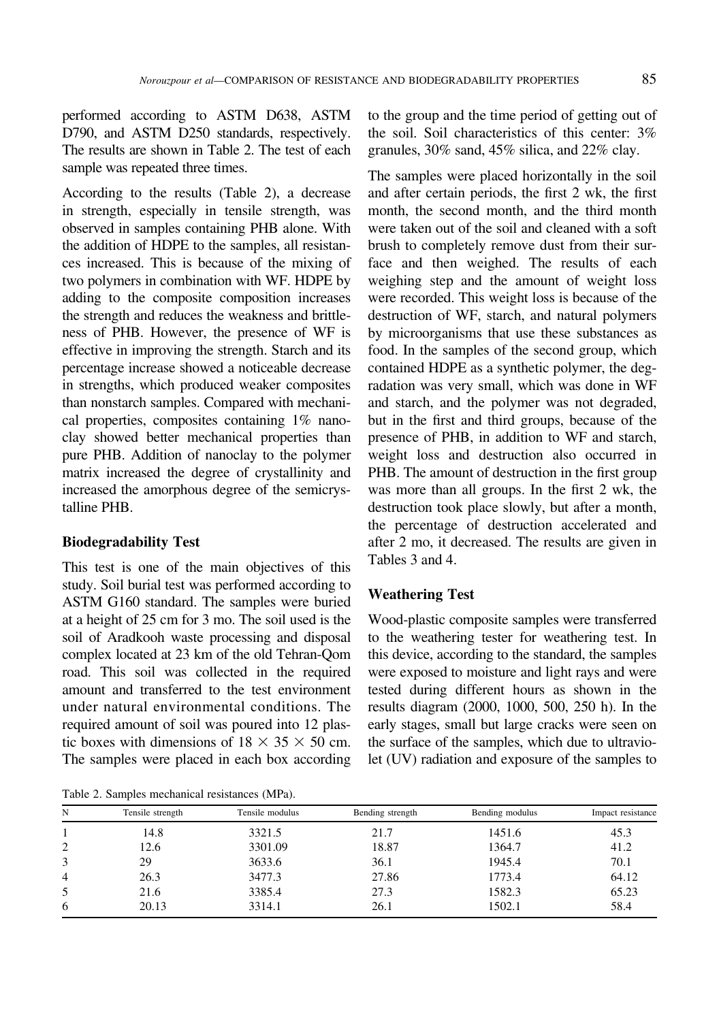performed according to ASTM D638, ASTM D790, and ASTM D250 standards, respectively. The results are shown in Table 2. The test of each sample was repeated three times.

According to the results (Table 2), a decrease in strength, especially in tensile strength, was observed in samples containing PHB alone. With the addition of HDPE to the samples, all resistances increased. This is because of the mixing of two polymers in combination with WF. HDPE by adding to the composite composition increases the strength and reduces the weakness and brittleness of PHB. However, the presence of WF is effective in improving the strength. Starch and its percentage increase showed a noticeable decrease in strengths, which produced weaker composites than nonstarch samples. Compared with mechanical properties, composites containing 1% nanoclay showed better mechanical properties than pure PHB. Addition of nanoclay to the polymer matrix increased the degree of crystallinity and increased the amorphous degree of the semicrystalline PHB.

## Biodegradability Test

This test is one of the main objectives of this study. Soil burial test was performed according to ASTM G160 standard. The samples were buried at a height of 25 cm for 3 mo. The soil used is the soil of Aradkooh waste processing and disposal complex located at 23 km of the old Tehran-Qom road. This soil was collected in the required amount and transferred to the test environment under natural environmental conditions. The required amount of soil was poured into 12 plastic boxes with dimensions of  $18 \times 35 \times 50$  cm. The samples were placed in each box according

Table 2. Samples mechanical resistances (MPa).

to the group and the time period of getting out of the soil. Soil characteristics of this center: 3% granules, 30% sand, 45% silica, and 22% clay.

The samples were placed horizontally in the soil and after certain periods, the first 2 wk, the first month, the second month, and the third month were taken out of the soil and cleaned with a soft brush to completely remove dust from their surface and then weighed. The results of each weighing step and the amount of weight loss were recorded. This weight loss is because of the destruction of WF, starch, and natural polymers by microorganisms that use these substances as food. In the samples of the second group, which contained HDPE as a synthetic polymer, the degradation was very small, which was done in WF and starch, and the polymer was not degraded, but in the first and third groups, because of the presence of PHB, in addition to WF and starch, weight loss and destruction also occurred in PHB. The amount of destruction in the first group was more than all groups. In the first 2 wk, the destruction took place slowly, but after a month, the percentage of destruction accelerated and after 2 mo, it decreased. The results are given in [Tables 3](#page-5-0) and [4.](#page-5-0)

## Weathering Test

Wood-plastic composite samples were transferred to the weathering tester for weathering test. In this device, according to the standard, the samples were exposed to moisture and light rays and were tested during different hours as shown in the results diagram (2000, 1000, 500, 250 h). In the early stages, small but large cracks were seen on the surface of the samples, which due to ultraviolet (UV) radiation and exposure of the samples to

| N | Tensile strength | Tensile modulus | Bending strength | Bending modulus | Impact resistance |
|---|------------------|-----------------|------------------|-----------------|-------------------|
|   | 14.8             | 3321.5          | 21.7             | 1451.6          | 45.3              |
| 2 | 12.6             | 3301.09         | 18.87            | 1364.7          | 41.2              |
|   | 29               | 3633.6          | 36.1             | 1945.4          | 70.1              |
| 4 | 26.3             | 3477.3          | 27.86            | 1773.4          | 64.12             |
| 5 | 21.6             | 3385.4          | 27.3             | 1582.3          | 65.23             |
| 6 | 20.13            | 3314.1          | 26.1             | 1502.1          | 58.4              |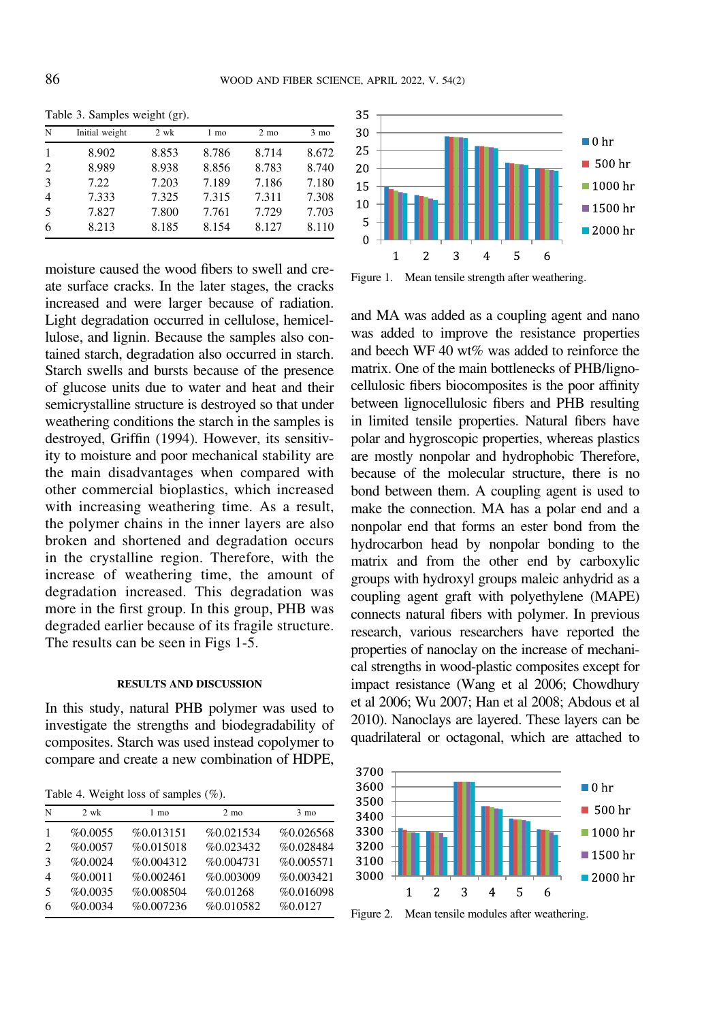| N | Initial weight | 2 wk  | 1 mo  | $2 \text{ mo}$ | $3 \text{ mo}$ |
|---|----------------|-------|-------|----------------|----------------|
|   | 8.902          | 8.853 | 8.786 | 8.714          | 8.672          |
| 2 | 8.989          | 8.938 | 8.856 | 8.783          | 8.740          |
| 3 | 7.22           | 7.203 | 7.189 | 7.186          | 7.180          |
| 4 | 7.333          | 7.325 | 7.315 | 7.311          | 7.308          |
| 5 | 7.827          | 7.800 | 7.761 | 7.729          | 7.703          |
| 6 | 8.213          | 8.185 | 8.154 | 8.127          | 8.110          |

<span id="page-5-0"></span>Table 3. Samples weight (gr).

moisture caused the wood fibers to swell and create surface cracks. In the later stages, the cracks increased and were larger because of radiation. Light degradation occurred in cellulose, hemicellulose, and lignin. Because the samples also contained starch, degradation also occurred in starch. Starch swells and bursts because of the presence of glucose units due to water and heat and their semicrystalline structure is destroyed so that under weathering conditions the starch in the samples is destroyed, Griffi[n \(1994\)](#page-7-0). However, its sensitivity to moisture and poor mechanical stability are the main disadvantages when compared with other commercial bioplastics, which increased with increasing weathering time. As a result, the polymer chains in the inner layers are also broken and shortened and degradation occurs in the crystalline region. Therefore, with the increase of weathering time, the amount of degradation increased. This degradation was more in the first group. In this group, PHB was degraded earlier because of its fragile structure. The results can be seen in Figs 1-5.

#### RESULTS AND DISCUSSION

In this study, natural PHB polymer was used to investigate the strengths and biodegradability of composites. Starch was used instead copolymer to compare and create a new combination of HDPE,

Table 4. Weight loss of samples (%).

| N             | $2 \text{ wk}$ | 1 mo      | $2 \text{ mo}$ | $3 \text{ mo}$ |
|---------------|----------------|-----------|----------------|----------------|
|               | %0.0055        | %0.013151 | %0.021534      | %0.026568      |
| $\mathcal{L}$ | %0.0057        | %0.015018 | %0.023432      | %0.028484      |
| 3             | %0.0024        | %0.004312 | %0.004731      | %0.005571      |
| 4             | %0.0011        | %0.002461 | %0.003009      | %0.003421      |
| 5             | %0.0035        | %0.008504 | %0.01268       | %0.016098      |
| 6             | %0.0034        | %0.007236 | %0.010582      | %0.0127        |



Figure 1. Mean tensile strength after weathering.

and MA was added as a coupling agent and nano was added to improve the resistance properties and beech WF 40 wt% was added to reinforce the matrix. One of the main bottlenecks of PHB/lignocellulosic fibers biocomposites is the poor affinity between lignocellulosic fibers and PHB resulting in limited tensile properties. Natural fibers have polar and hygroscopic properties, whereas plastics are mostly nonpolar and hydrophobic Therefore, because of the molecular structure, there is no bond between them. A coupling agent is used to make the connection. MA has a polar end and a nonpolar end that forms an ester bond from the hydrocarbon head by nonpolar bonding to the matrix and from the other end by carboxylic groups with hydroxyl groups maleic anhydrid as a coupling agent graft with polyethylene (MAPE) connects natural fibers with polymer. In previous research, various researchers have reported the properties of nanoclay on the increase of mechanical strengths in wood-plastic composites except for impact resistance (Wang et al 2006; [Chowdhury](#page-7-0) [et al 2006](#page-7-0); Wu 2007; [Han et al 2008; Abdous et al](#page-7-0) [2010](#page-7-0)). Nanoclays are layered. These layers can be quadrilateral or octagonal, which are attached to



Figure 2. Mean tensile modules after weathering.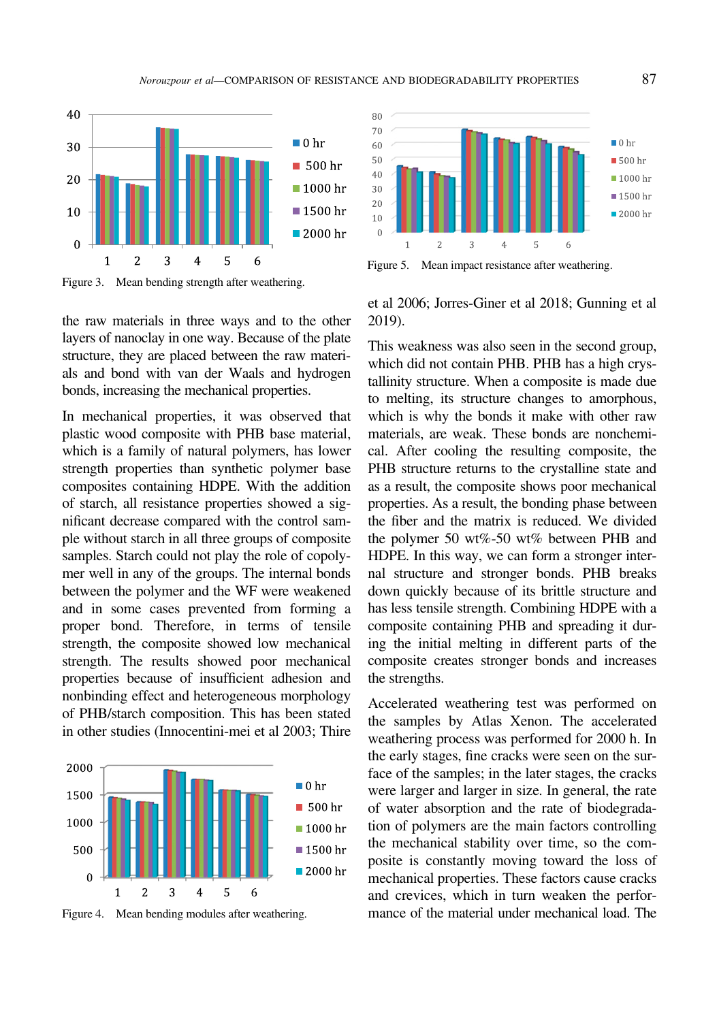

Figure 3. Mean bending strength after weathering.

the raw materials in three ways and to the other layers of nanoclay in one way. Because of the plate structure, they are placed between the raw materials and bond with van der Waals and hydrogen bonds, increasing the mechanical properties.

In mechanical properties, it was observed that plastic wood composite with PHB base material, which is a family of natural polymers, has lower strength properties than synthetic polymer base composites containing HDPE. With the addition of starch, all resistance properties showed a significant decrease compared with the control sample without starch in all three groups of composite samples. Starch could not play the role of copolymer well in any of the groups. The internal bonds between the polymer and the WF were weakened and in some cases prevented from forming a proper bond. Therefore, in terms of tensile strength, the composite showed low mechanical strength. The results showed poor mechanical properties because of insufficient adhesion and nonbinding effect and heterogeneous morphology of PHB/starch composition. This has been stated in other studies [\(Innocentini-mei et al 2003;](#page-7-0) [Thire](#page-8-0)



Figure 4. Mean bending modules after weathering.



Figure 5. Mean impact resistance after weathering.

[et al 2006](#page-8-0); [Jorres-Giner et al 2018; Gunning et al](#page-7-0) [2019\)](#page-7-0).

This weakness was also seen in the second group, which did not contain PHB. PHB has a high crystallinity structure. When a composite is made due to melting, its structure changes to amorphous, which is why the bonds it make with other raw materials, are weak. These bonds are nonchemical. After cooling the resulting composite, the PHB structure returns to the crystalline state and as a result, the composite shows poor mechanical properties. As a result, the bonding phase between the fiber and the matrix is reduced. We divided the polymer 50 wt%-50 wt% between PHB and HDPE. In this way, we can form a stronger internal structure and stronger bonds. PHB breaks down quickly because of its brittle structure and has less tensile strength. Combining HDPE with a composite containing PHB and spreading it during the initial melting in different parts of the composite creates stronger bonds and increases the strengths.

Accelerated weathering test was performed on the samples by Atlas Xenon. The accelerated weathering process was performed for 2000 h. In the early stages, fine cracks were seen on the surface of the samples; in the later stages, the cracks were larger and larger in size. In general, the rate of water absorption and the rate of biodegradation of polymers are the main factors controlling the mechanical stability over time, so the composite is constantly moving toward the loss of mechanical properties. These factors cause cracks and crevices, which in turn weaken the performance of the material under mechanical load. The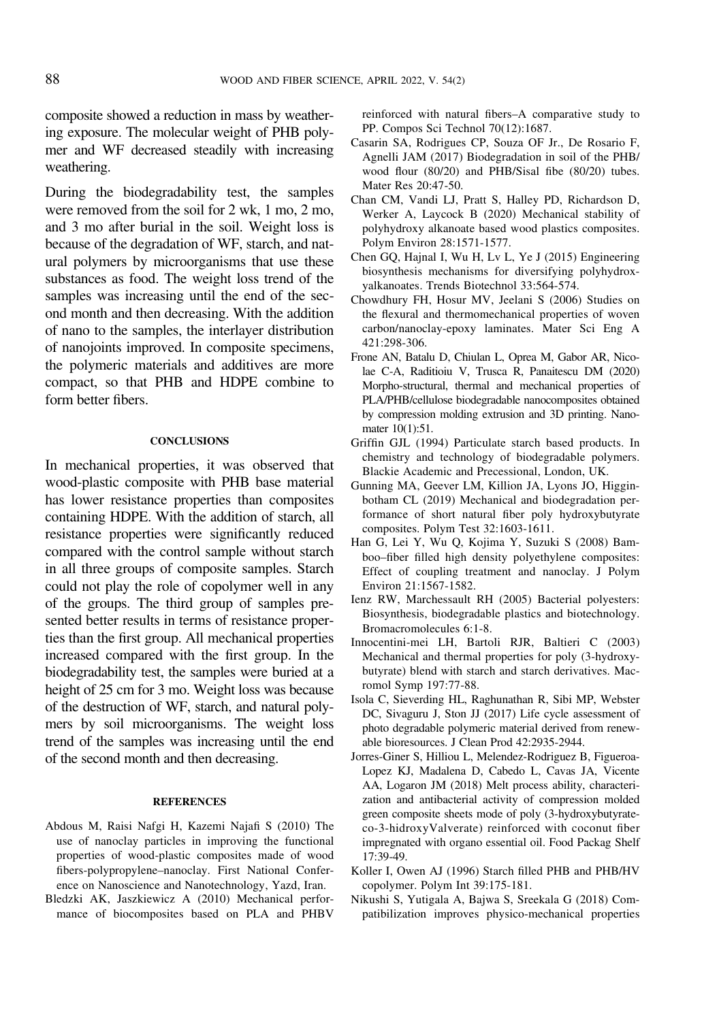<span id="page-7-0"></span>composite showed a reduction in mass by weathering exposure. The molecular weight of PHB polymer and WF decreased steadily with increasing weathering.

During the biodegradability test, the samples were removed from the soil for 2 wk, 1 mo, 2 mo, and 3 mo after burial in the soil. Weight loss is because of the degradation of WF, starch, and natural polymers by microorganisms that use these substances as food. The weight loss trend of the samples was increasing until the end of the second month and then decreasing. With the addition of nano to the samples, the interlayer distribution of nanojoints improved. In composite specimens, the polymeric materials and additives are more compact, so that PHB and HDPE combine to form better fibers.

#### **CONCLUSIONS**

In mechanical properties, it was observed that wood-plastic composite with PHB base material has lower resistance properties than composites containing HDPE. With the addition of starch, all resistance properties were significantly reduced compared with the control sample without starch in all three groups of composite samples. Starch could not play the role of copolymer well in any of the groups. The third group of samples presented better results in terms of resistance properties than the first group. All mechanical properties increased compared with the first group. In the biodegradability test, the samples were buried at a height of 25 cm for 3 mo. Weight loss was because of the destruction of WF, starch, and natural polymers by soil microorganisms. The weight loss trend of the samples was increasing until the end of the second month and then decreasing.

#### **REFERENCES**

- Abdous M, Raisi Nafgi H, Kazemi Najafi S (2010) The use of nanoclay particles in improving the functional properties of wood-plastic composites made of wood fibers-polypropylene–nanoclay. First National Conference on Nanoscience and Nanotechnology, Yazd, Iran.
- Bledzki AK, Jaszkiewicz A (2010) Mechanical performance of biocomposites based on PLA and PHBV

reinforced with natural fibers–A comparative study to PP. Compos Sci Technol 70(12):1687.

- Casarin SA, Rodrigues CP, Souza OF Jr., De Rosario F, Agnelli JAM (2017) Biodegradation in soil of the PHB/ wood flour (80/20) and PHB/Sisal fibe (80/20) tubes. Mater Res 20:47-50.
- Chan CM, Vandi LJ, Pratt S, Halley PD, Richardson D, Werker A, Laycock B (2020) Mechanical stability of polyhydroxy alkanoate based wood plastics composites. Polym Environ 28:1571-1577.
- Chen GQ, Hajnal I, Wu H, Lv L, Ye J (2015) Engineering biosynthesis mechanisms for diversifying polyhydroxyalkanoates. Trends Biotechnol 33:564-574.
- Chowdhury FH, Hosur MV, Jeelani S (2006) Studies on the flexural and thermomechanical properties of woven carbon/nanoclay-epoxy laminates. Mater Sci Eng A 421:298-306.
- Frone AN, Batalu D, Chiulan L, Oprea M, Gabor AR, Nicolae C-A, Raditioiu V, Trusca R, Panaitescu DM (2020) Morpho-structural, thermal and mechanical properties of PLA/PHB/cellulose biodegradable nanocomposites obtained by compression molding extrusion and 3D printing. Nanomater 10(1):51.
- Griffin GJL (1994) Particulate starch based products. In chemistry and technology of biodegradable polymers. Blackie Academic and Precessional, London, UK.
- Gunning MA, Geever LM, Killion JA, Lyons JO, Higginbotham CL (2019) Mechanical and biodegradation performance of short natural fiber poly hydroxybutyrate composites. Polym Test 32:1603-1611.
- Han G, Lei Y, Wu Q, Kojima Y, Suzuki S (2008) Bamboo–fiber filled high density polyethylene composites: Effect of coupling treatment and nanoclay. J Polym Environ 21:1567-1582.
- Ienz RW, Marchessault RH (2005) Bacterial polyesters: Biosynthesis, biodegradable plastics and biotechnology. Bromacromolecules 6:1-8.
- Innocentini-mei LH, Bartoli RJR, Baltieri C (2003) Mechanical and thermal properties for poly (3-hydroxybutyrate) blend with starch and starch derivatives. Macromol Symp 197:77-88.
- Isola C, Sieverding HL, Raghunathan R, Sibi MP, Webster DC, Sivaguru J, Ston JJ (2017) Life cycle assessment of photo degradable polymeric material derived from renewable bioresources. J Clean Prod 42:2935-2944.
- Jorres-Giner S, Hilliou L, Melendez-Rodriguez B, Figueroa-Lopez KJ, Madalena D, Cabedo L, Cavas JA, Vicente AA, Logaron JM (2018) Melt process ability, characterization and antibacterial activity of compression molded green composite sheets mode of poly (3-hydroxybutyrateco-3-hidroxyValverate) reinforced with coconut fiber impregnated with organo essential oil. Food Packag Shelf 17:39-49.
- Koller I, Owen AJ (1996) Starch filled PHB and PHB/HV copolymer. Polym Int 39:175-181.
- Nikushi S, Yutigala A, Bajwa S, Sreekala G (2018) Compatibilization improves physico-mechanical properties